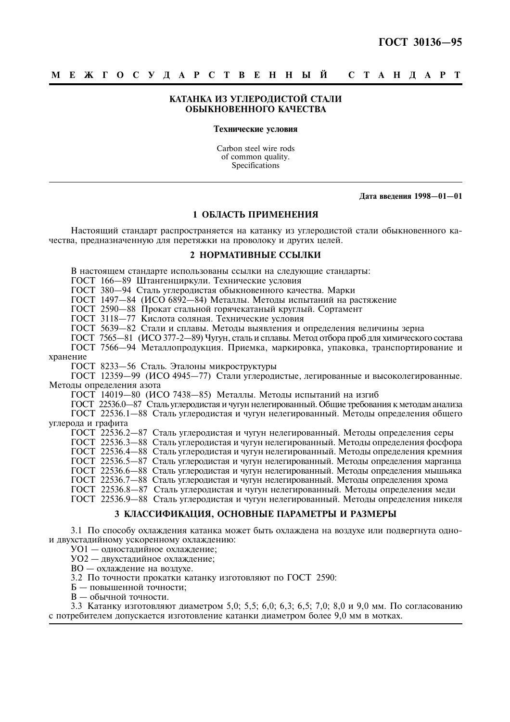# КАТАНКА ИЗ УГЛЕРОДИСТОЙ СТАЛИ ОБЫКНОВЕННОГО КАЧЕСТВА

#### Технические условия

Carbon steel wire rods of common quality. Specifications

Дата введения 1998-01-01

# 1 ОБЛАСТЬ ПРИМЕНЕНИЯ

Настоящий стандарт распространяется на катанку из углеродистой стали обыкновенного качества, предназначенную для перетяжки на проволоку и других целей.

### 2 НОРМАТИВНЫЕ ССЫЛКИ

В настоящем стандарте использованы ссылки на следующие стандарты:

ГОСТ 166-89 Штангенциркули. Технические условия

ГОСТ 380-94 Сталь углеродистая обыкновенного качества. Марки

ГОСТ 1497-84 (ИСО 6892-84) Металлы. Методы испытаний на растяжение

ГОСТ 2590-88 Прокат стальной горячекатаный круглый. Сортамент

гост 3118-77 Кислота соляная. Технические условия<br>ГОСТ 5639-82 Стали и сплавы. Методы выявления и определения величины зерна<br>ГОСТ 7565-81 (ИСО 377-2-89) Чугун, сталь и сплавы. Метод отбора проб для химического состава

ГОСТ 7566-94 Металлопродукция. Приемка, маркировка, упаковка, транспортирование и хранение

ГОСТ 8233-56 Сталь. Эталоны микроструктуры

ГОСТ 12359-99 (ИСО 4945-77) Стали углеродистые, легированные и высоколегированные. Метолы опрелеления азота

. ГОСТ 14019—80 (ИСО 7438—85) Металлы. Методы испытаний на изгиб<br>ГОСТ 22536.0—87 Сталь углеродистая и чугун нелегированный. Общие требования к методам анализа<br>ГОСТ 22536.1—88 Сталь углеродистая и чугун нелегированный. Мет углерода и графита

СОСТ 22536.2—87 Сталь углеродистая и чугун нелегированный. Методы определения серы ГОСТ 22536.2—87 Сталь углеродистая и чугун нелегированный. Методы определения фосфора ГОСТ 22536.3—88 Сталь углеродистая и чугун нелегиров ГОСТ 22536.5-87 Сталь углеродистая и чугун нелегированный. Методы определения марганца ГОСТ 22536.6-88 Сталь углеродистая и чугун нелегированный. Методы определения мышьяка ГОСТ 22536.7-88 Сталь углеродистая и чугун нелегированный. Методы определения хрома<br>ГОСТ 22536.8-87 Сталь углеродистая и чугун нелегированный. Методы определения меди ГОСТ 22536.9-88 Сталь углеродистая и чугун нелегированный. Методы определения никеля

## 3 КЛАССИФИКАЦИЯ, ОСНОВНЫЕ ПАРАМЕТРЫ И РАЗМЕРЫ

3.1 По способу охлаждения катанка может быть охлаждена на воздухе или подвергнута однои двухсталийному ускоренному охлаждению:

УО1 - одностадийное охлаждение;

УО2 - двухстадийное охлаждение;

ВО - охлажление на возлухе.

3.2 По точности прокатки катанку изготовляют по ГОСТ 2590:

Б — повышенной точности:

В — обычной точности.

3.3 Катанку изготовляют диаметром 5.0; 5.5; 6.0; 6.3; 6.5; 7.0; 8.0 и 9.0 мм. По согласованию с потребителем допускается изготовление катанки диаметром более 9.0 мм в мотках.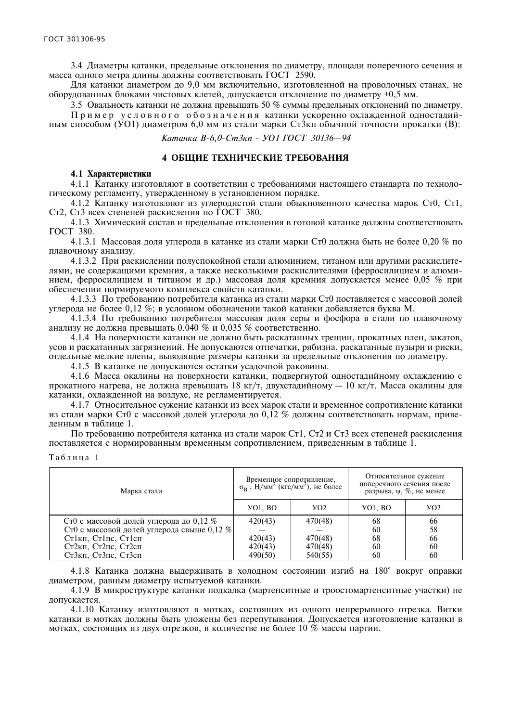3.4 Диаметры катанки, предельные отклонения по диаметру, площади поперечного сечения и масса одного метра длины должны соответствовать ГОСТ 2590.

Для катанки диаметром до 9,0 мм включительно, изготовленной на проволочных станах, не оборудованных блоками чистовых клетей, допускается отклонение по диаметру  $\pm 0.5$  мм.

3.5 Овальность катанки не должна превышать 50 % суммы предельных отклонений по диаметру. Пример условного обозначения катанки ускоренно охлажденной одностадийным способом (УО1) диаметром 6,0 мм из стали марки Ст3кп обычной точности прокатки (В):

Катанка В-6,0-Ст3кп - УО1 ГОСТ 30136-94

## 4 ОБЩИЕ ТЕХНИЧЕСКИЕ ТРЕБОВАНИЯ

#### 4.1 Характеристики

4.1.1 Катанку изготовляют в соответствии с требованиями настоящего стандарта по технологическому регламенту, утвержденному в установленном порядке.

4.1.2 Катанку изготовляют из углеродистой стали обыкновенного качества марок Ст0, Ст1, Ст2, Ст3 всех степеней раскисления по ГОСТ 380.

4.1.3 Химический состав и предельные отклонения в готовой катанке должны соответствовать ГОСТ 380.

4.1.3.1 Массовая доля углерода в катанке из стали марки Ст0 должна быть не более 0,20 % по плавочному анализу.

4.1.3.2 При раскислении полуспокойной стали алюминием, титаном или другими раскислителями, не содержащими кремния, а также несколькими раскислителями (ферросилицием и алюминием, ферросилицием и титаном и др.) массовая доля кремния допускается менее 0,05 % при обеспечении нормируемого комплекса свойств катанки.

4.1.3.3 По требованию потребителя катанка из стали марки Ст0 поставляется с массовой долей углерода не более 0,12 %; в условном обозначении такой катанки добавляется буква М.

4.1.3.4 По требованию потребителя массовая доля серы и фосфора в стали по плавочному анализу не должна превышать 0,040 % и 0,035 % соответственно.

4.1.4 На поверхности катанки не должно быть раскатанных трещин, прокатных плен, закатов, усов и раскатанных загрязнений. Не допускаются отпечатки, рябизна, раскатанные пузыри и риски, отдельные мелкие плены, выводящие размеры катанки за предельные отклонения по диаметру.

4.1.5 В катанке не лопускаются остатки усалочной раковины.

4.1.6 Масса окалины на поверхности катанки, подвергнутой одностадийному охлаждению с прокатного нагрева, не должна превышать 18 кг/т, двухстадийному — 10 кг/т. Масса окалины для катанки, охлажденной на воздухе, не регламентируется.

4.1.7 Относительное сужение катанки из всех марок стали и временное сопротивление катанки из стали марки Ст0 с массовой долей углерода до 0,12 % должны соответствовать нормам, приведенным в таблице 1.

По требованию потребителя катанка из стали марок Ст1, Ст2 и Ст3 всех степеней раскисления поставляется с нормированным временным сопротивлением, приведенным в таблице 1.

Таблина 1

| Марка стали                                | Временное сопротивление,<br>$\sigma_B$ , Н/мм <sup>2</sup> (кгс/мм <sup>2</sup> ), не более |         | Относительное сужение<br>поперечного сечения после<br>разрыва, $\psi$ , $\%$ , не менее |                 |
|--------------------------------------------|---------------------------------------------------------------------------------------------|---------|-----------------------------------------------------------------------------------------|-----------------|
|                                            | <b>YO1, BO</b>                                                                              | YO2     | <b>YO1, BO</b>                                                                          | YO <sub>2</sub> |
| Ст0 с массовой долей углерода до 0,12 %    | 420(43)                                                                                     | 470(48) | 68                                                                                      | 66              |
| Ст0 с массовой долей углерода свыше 0.12 % |                                                                                             |         | 60                                                                                      | 58              |
| Ст1кп, Ст1пс, Ст1сп                        | 420(43)                                                                                     | 470(48) | 68                                                                                      | 66              |
| Ст2кп, Ст2пс, Ст2сп                        | 420(43)                                                                                     | 470(48) | 60                                                                                      | 60              |
| Ст3кп, Ст3пс, Ст3сп                        | 490(50)                                                                                     | 540(55) | 60                                                                                      | 60              |

4.1.8 Катанка должна выдерживать в холодном состоянии изгиб на 180° вокруг оправки диаметром, равным диаметру испытуемой катанки.

4.1.9 В микроструктуре катанки подкалка (мартенситные и троостомартенситные участки) не лопускается.

4.1.10 Катанку изготовляют в мотках, состоящих из одного непрерывного отрезка. Витки катанки в мотках должны быть уложены без перепутывания. Допускается изготовление катанки в мотках, состоящих из двух отрезков, в количестве не более 10 % массы партии.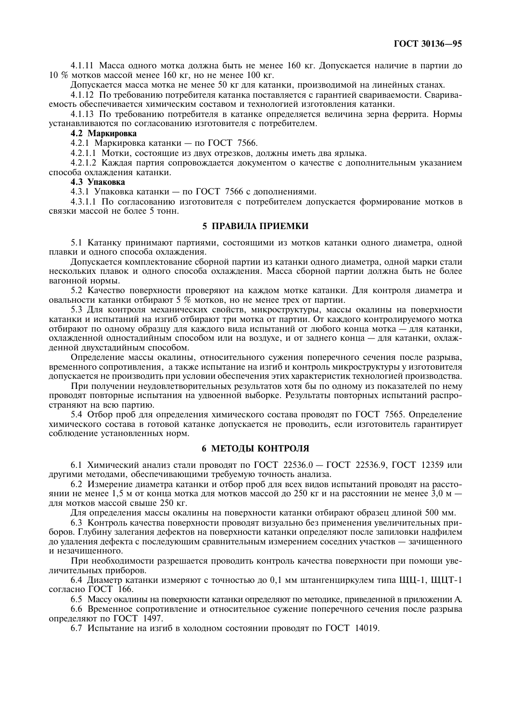4.1.11 Масса одного мотка должна быть не менее 160 кг. Допускается наличие в партии до  $10\%$  мотков массой менее  $160$  кг, но не менее  $100$  кг.

Допускается масса мотка не менее 50 кг для катанки, производимой на линейных станах.

4.1.12 По требованию потребителя катанка поставляется с гарантией свариваемости. Свариваемость обеспечивается химическим составом и технологией изготовления катанки.

4.1.13 По требованию потребителя в катанке определяется величина зерна феррита. Нормы устанавливаются по согласованию изготовителя с потребителем.

# 4.2 Маркировка

4.2.1 Маркировка катанки - по ГОСТ 7566.

4.2.1.1 Мотки, состоящие из двух отрезков, должны иметь два ярлыка.

4.2.1.2 Каждая партия сопровождается документом о качестве с дополнительным указанием способа охлаждения катанки.

### 4.3 Упаковка

4.3.1 Упаковка катанки - по ГОСТ 7566 с дополнениями.

4.3.1.1 По согласованию изготовителя с потребителем допускается формирование мотков в связки массой не более 5 тонн.

### 5 ПРАВИЛА ПРИЕМКИ

5.1 Катанку принимают партиями, состоящими из мотков катанки одного диаметра, одной плавки и одного способа охлаждения.

Допускается комплектование сборной партии из катанки одного диаметра, одной марки стали нескольких плавок и одного способа охлаждения. Масса сборной партии должна быть не более вагонной нормы.

5.2 Качество поверхности проверяют на каждом мотке катанки. Для контроля диаметра и овальности катанки отбирают 5 % мотков, но не менее трех от партии.

5.3 Для контроля механических свойств, микроструктуры, массы окалины на поверхности катанки и испытаний на изгиб отбирают три мотка от партии. От каждого контролируемого мотка отбирают по одному образцу для каждого вида испытаний от любого конца мотка - для катанки, охлажденной одностадийным способом или на воздухе, и от заднего конца - для катанки, охлажденной двухстадийным способом.

Определение массы окалины, относительного сужения поперечного сечения после разрыва, временного сопротивления, а также испытание на изгиб и контроль микроструктуры у изготовителя допускается не производить при условии обеспечения этих характеристик технологией производства.

При получении неудовлетворительных результатов хотя бы по одному из показателей по нему проводят повторные испытания на удвоенной выборке. Результаты повторных испытаний распространяют на всю партию.

5.4 Отбор проб для определения химического состава проводят по ГОСТ 7565. Определение химического состава в готовой катанке допускается не проводить, если изготовитель гарантирует соблюдение установленных норм.

# 6 МЕТОДЫ КОНТРОЛЯ

6.1 Химический анализ стали проводят по ГОСТ 22536.0 - ГОСТ 22536.9, ГОСТ 12359 или другими методами, обеспечивающими требуемую точность анализа.

6.2 Измерение диаметра катанки и отбор проб для всех видов испытаний проводят на расстоянии не менее 1,5 м от конца мотка для мотков массой до 250 кг и на расстоянии не менее 3,0 м  $$ лля мотков массой свыше 250 кг.

Лля опрелеления массы окалины на поверхности катанки отбирают образен ллиной 500 мм.

6.3 Контроль качества поверхности проводят визуально без применения увеличительных приборов. Глубину залегания дефектов на поверхности катанки определяют после запиловки надфилем до удаления дефекта с последующим сравнительным измерением соседних участков - зачищенного и незачишенного.

При необходимости разрешается проводить контроль качества поверхности при помощи увеличительных приборов.

6.4 Диаметр катанки измеряют с точностью до 0.1 мм штангенциркулем типа ЩЦ-1, ЩЦТ-1 согласно ГОСТ 166.

6.5 Массу окалины на поверхности катанки определяют по методике, приведенной в приложении А.

6.6 Временное сопротивление и относительное сужение поперечного сечения после разрыва определяют по ГОСТ 1497.

6.7 Испытание на изгиб в холодном состоянии проводят по ГОСТ 14019.